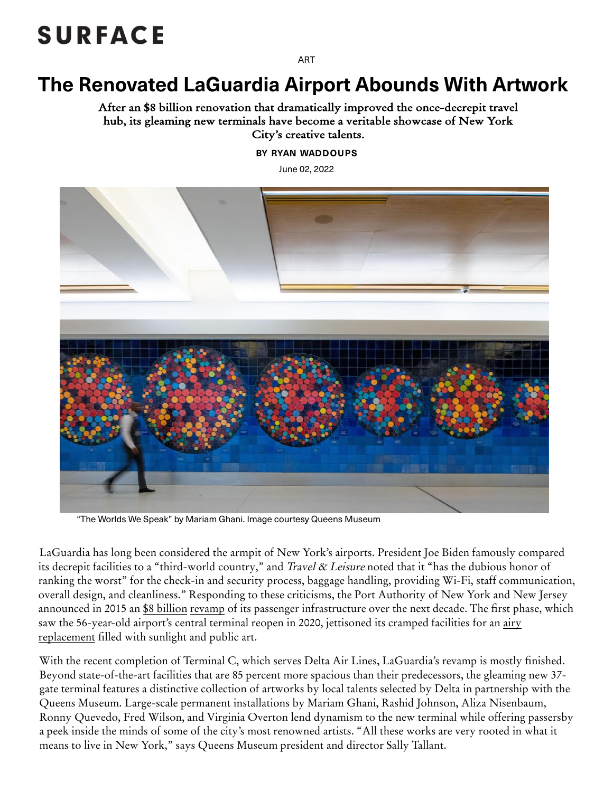## **SURFACE**

[ART](https://www.surfacemag.com/articles/category/art/)

## The Renovated LaGuardia Airport Abounds With Artwork

After an \$8 billion renovation that dramatically improved the once-decrepit travel hub, its gleaming new terminals have become a veritable showcase of New York City's creative talents.

[BY RYAN WADDOUPS](https://www.surfacemag.com/articles/author/ryan-waddoups/)

June 02, 2022



"The Worlds We Speak" by Mariam Ghani. Image courtesy Queens Museum

LaGuardia has long been considered the armpit of New York's airports. President Joe Biden famously compared its decrepit facilities to a "third-world country," and Travel & Leisure noted that it "has the dubious honor of ranking the worst" for the check-in and security process, baggage handling, providing Wi-Fi, staff communication, overall design, and cleanliness." Responding to these criticisms, the Port Authority of New York and New Jersey announced in 2015 an <u>\$8 billion revamp</u> of its passenger infrastructure over the next decade. The first phase, which saw the 56-year-old airport's central terminal reopen in 2020, jettisoned its cramped facilities for an airy replacement filled with sunlight and public art.

With the recent completion of Terminal C, which serves Delta Air Lines, LaGuardia's revamp is mostly finished. Beyond state-of-the-art facilities that are 85 percent more spacious than their predecessors, the gleaming new 37 gate terminal features a distinctive collection of artworks by local talents selected by Delta in partnership with the Queens Museum. Large-scale permanent installations by Mariam Ghani, Rashid Johnson, Aliza Nisenbaum, Ronny Quevedo, Fred Wilson, and Virginia Overton lend dynamism to the new terminal while offering passersby a peek inside the minds of some of the city's most renowned artists. "All these works are very rooted in what it means to live in New York," says Queens [Museum](https://www.surfacemag.com/undefined/) president and director Sally Tallant.